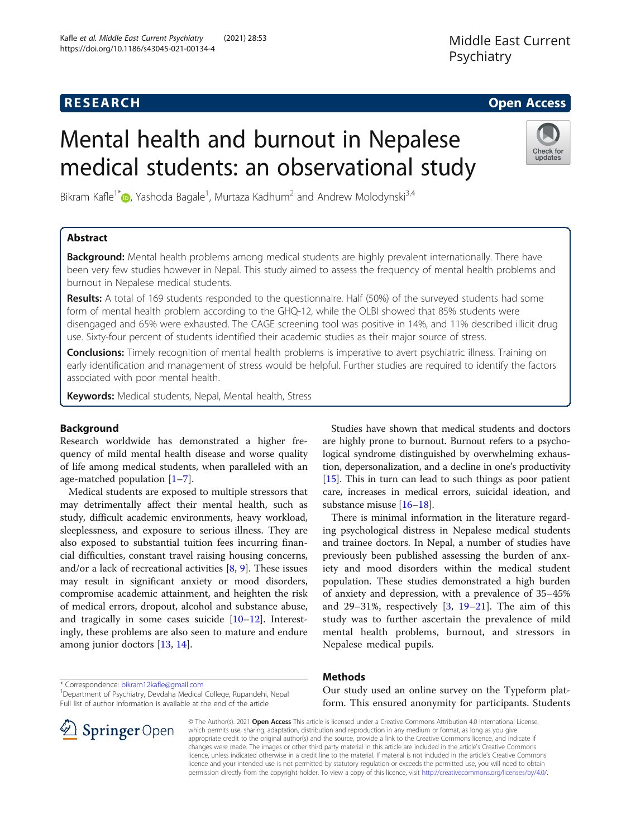# Mental health and burnout in Nepalese medical students: an observational study

Bikram Kafle<sup>1[\\*](http://orcid.org/0000-0002-1795-2660)</sup> $\bm{\odot}$ , Yashoda Bagale<sup>1</sup>, Murtaza Kadhum<sup>2</sup> and Andrew Molodynski<sup>3,4</sup>

# Abstract

**Background:** Mental health problems among medical students are highly prevalent internationally. There have been very few studies however in Nepal. This study aimed to assess the frequency of mental health problems and burnout in Nepalese medical students.

Results: A total of 169 students responded to the questionnaire. Half (50%) of the surveyed students had some form of mental health problem according to the GHQ-12, while the OLBI showed that 85% students were disengaged and 65% were exhausted. The CAGE screening tool was positive in 14%, and 11% described illicit drug use. Sixty-four percent of students identified their academic studies as their major source of stress.

Conclusions: Timely recognition of mental health problems is imperative to avert psychiatric illness. Training on early identification and management of stress would be helpful. Further studies are required to identify the factors associated with poor mental health.

Keywords: Medical students, Nepal, Mental health, Stress

# Background

Research worldwide has demonstrated a higher frequency of mild mental health disease and worse quality of life among medical students, when paralleled with an age-matched population [[1](#page-3-0)–[7\]](#page-3-0).

Medical students are exposed to multiple stressors that may detrimentally affect their mental health, such as study, difficult academic environments, heavy workload, sleeplessness, and exposure to serious illness. They are also exposed to substantial tuition fees incurring financial difficulties, constant travel raising housing concerns, and/or a lack of recreational activities [[8,](#page-3-0) [9](#page-3-0)]. These issues may result in significant anxiety or mood disorders, compromise academic attainment, and heighten the risk of medical errors, dropout, alcohol and substance abuse, and tragically in some cases suicide  $[10-12]$  $[10-12]$  $[10-12]$  $[10-12]$  $[10-12]$ . Interestingly, these problems are also seen to mature and endure among junior doctors [[13](#page-3-0), [14](#page-3-0)].

Studies have shown that medical students and doctors are highly prone to burnout. Burnout refers to a psychological syndrome distinguished by overwhelming exhaustion, depersonalization, and a decline in one's productivity [[15](#page-3-0)]. This in turn can lead to such things as poor patient care, increases in medical errors, suicidal ideation, and substance misuse [[16](#page-3-0)–[18\]](#page-3-0).

There is minimal information in the literature regarding psychological distress in Nepalese medical students and trainee doctors. In Nepal, a number of studies have previously been published assessing the burden of anxiety and mood disorders within the medical student population. These studies demonstrated a high burden of anxiety and depression, with a prevalence of 35–45% and 29–31%, respectively [\[3](#page-3-0), [19](#page-3-0)–[21](#page-3-0)]. The aim of this study was to further ascertain the prevalence of mild mental health problems, burnout, and stressors in Nepalese medical pupils.

# **Methods**

Our study used an online survey on the Typeform platform. This ensured anonymity for participants. Students

© The Author(s). 2021 Open Access This article is licensed under a Creative Commons Attribution 4.0 International License, which permits use, sharing, adaptation, distribution and reproduction in any medium or format, as long as you give appropriate credit to the original author(s) and the source, provide a link to the Creative Commons licence, and indicate if changes were made. The images or other third party material in this article are included in the article's Creative Commons licence, unless indicated otherwise in a credit line to the material. If material is not included in the article's Creative Commons licence and your intended use is not permitted by statutory regulation or exceeds the permitted use, you will need to obtain permission directly from the copyright holder. To view a copy of this licence, visit <http://creativecommons.org/licenses/by/4.0/>.

\* Correspondence: [bikram12kafle@gmail.com](mailto:bikram12kafle@gmail.com) <sup>1</sup>

<sup>1</sup>Department of Psychiatry, Devdaha Medical College, Rupandehi, Nepal Full list of author information is available at the end of the article





**RESEARCH CHE Open Access**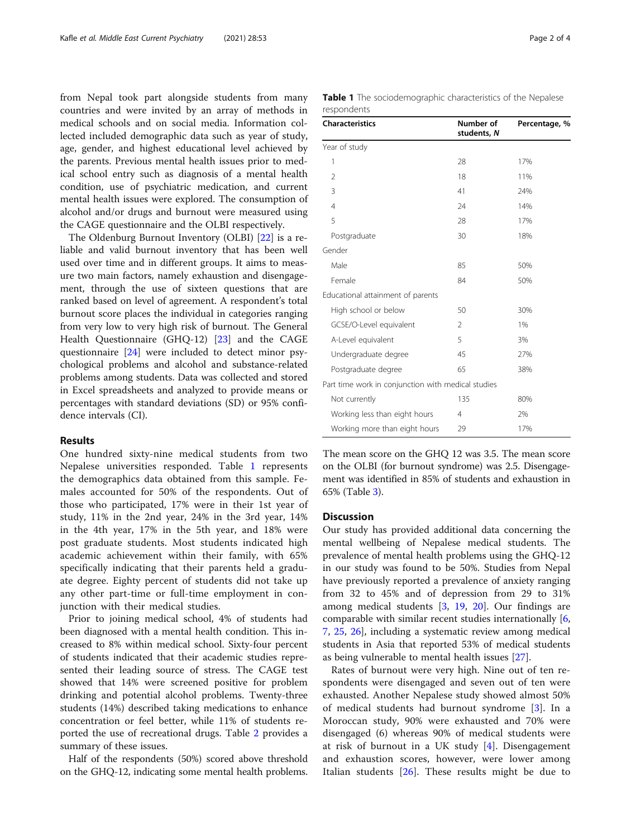from Nepal took part alongside students from many countries and were invited by an array of methods in medical schools and on social media. Information collected included demographic data such as year of study, age, gender, and highest educational level achieved by the parents. Previous mental health issues prior to medical school entry such as diagnosis of a mental health condition, use of psychiatric medication, and current mental health issues were explored. The consumption of alcohol and/or drugs and burnout were measured using the CAGE questionnaire and the OLBI respectively.

The Oldenburg Burnout Inventory (OLBI) [[22\]](#page-3-0) is a reliable and valid burnout inventory that has been well used over time and in different groups. It aims to measure two main factors, namely exhaustion and disengagement, through the use of sixteen questions that are ranked based on level of agreement. A respondent's total burnout score places the individual in categories ranging from very low to very high risk of burnout. The General Health Questionnaire (GHQ-12) [\[23](#page-3-0)] and the CAGE questionnaire [[24\]](#page-3-0) were included to detect minor psychological problems and alcohol and substance-related problems among students. Data was collected and stored in Excel spreadsheets and analyzed to provide means or percentages with standard deviations (SD) or 95% confidence intervals (CI).

## Results

One hundred sixty-nine medical students from two Nepalese universities responded. Table 1 represents the demographics data obtained from this sample. Females accounted for 50% of the respondents. Out of those who participated, 17% were in their 1st year of study, 11% in the 2nd year, 24% in the 3rd year, 14% in the 4th year, 17% in the 5th year, and 18% were post graduate students. Most students indicated high academic achievement within their family, with 65% specifically indicating that their parents held a graduate degree. Eighty percent of students did not take up any other part-time or full-time employment in conjunction with their medical studies.

Prior to joining medical school, 4% of students had been diagnosed with a mental health condition. This increased to 8% within medical school. Sixty-four percent of students indicated that their academic studies represented their leading source of stress. The CAGE test showed that 14% were screened positive for problem drinking and potential alcohol problems. Twenty-three students (14%) described taking medications to enhance concentration or feel better, while 11% of students reported the use of recreational drugs. Table [2](#page-2-0) provides a summary of these issues.

Half of the respondents (50%) scored above threshold on the GHQ-12, indicating some mental health problems.

|             | Table 1 The sociodemographic characteristics of the Nepalese |  |  |
|-------------|--------------------------------------------------------------|--|--|
| respondents |                                                              |  |  |

| <b>Characteristics</b>                             | Number of<br>students, N | Percentage, % |  |
|----------------------------------------------------|--------------------------|---------------|--|
| Year of study                                      |                          |               |  |
| 1                                                  | 28                       | 17%           |  |
| 2                                                  | 18                       | 11%           |  |
| 3                                                  | 41                       | 24%           |  |
| $\overline{4}$                                     | 24                       | 14%           |  |
| 5                                                  | 28                       | 17%           |  |
| Postgraduate                                       | 30                       | 18%           |  |
| Gender                                             |                          |               |  |
| Male                                               | 85                       | 50%           |  |
| Female                                             | 84                       | 50%           |  |
| Educational attainment of parents                  |                          |               |  |
| High school or below                               | 50                       | 30%           |  |
| GCSE/O-Level equivalent                            | $\mathfrak{D}$           | 1%            |  |
| A-Level equivalent                                 | 5                        | 3%            |  |
| Undergraduate degree                               | 45                       | 27%           |  |
| Postgraduate degree                                | 65                       | 38%           |  |
| Part time work in conjunction with medical studies |                          |               |  |
| Not currently                                      | 135                      | 80%           |  |
| Working less than eight hours                      | 4                        | 2%            |  |
| Working more than eight hours                      | 29                       | 17%           |  |

The mean score on the GHQ 12 was 3.5. The mean score on the OLBI (for burnout syndrome) was 2.5. Disengagement was identified in 85% of students and exhaustion in 65% (Table [3\)](#page-2-0).

#### **Discussion**

Our study has provided additional data concerning the mental wellbeing of Nepalese medical students. The prevalence of mental health problems using the GHQ-12 in our study was found to be 50%. Studies from Nepal have previously reported a prevalence of anxiety ranging from 32 to 45% and of depression from 29 to 31% among medical students [\[3,](#page-3-0) [19](#page-3-0), [20](#page-3-0)]. Our findings are comparable with similar recent studies internationally [\[6](#page-3-0), [7,](#page-3-0) [25](#page-3-0), [26\]](#page-3-0), including a systematic review among medical students in Asia that reported 53% of medical students as being vulnerable to mental health issues [\[27](#page-3-0)].

Rates of burnout were very high. Nine out of ten respondents were disengaged and seven out of ten were exhausted. Another Nepalese study showed almost 50% of medical students had burnout syndrome [\[3](#page-3-0)]. In a Moroccan study, 90% were exhausted and 70% were disengaged (6) whereas 90% of medical students were at risk of burnout in a UK study [[4\]](#page-3-0). Disengagement and exhaustion scores, however, were lower among Italian students [\[26](#page-3-0)]. These results might be due to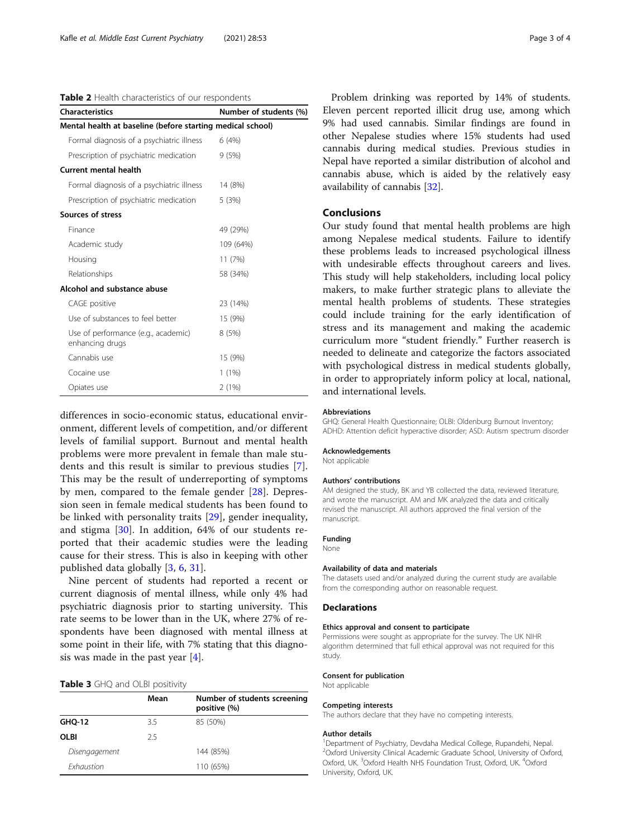<span id="page-2-0"></span>Table 2 Health characteristics of our respondents

| <b>Characteristics</b>                                     | Number of students (%) |  |  |  |  |
|------------------------------------------------------------|------------------------|--|--|--|--|
| Mental health at baseline (before starting medical school) |                        |  |  |  |  |
| Formal diagnosis of a psychiatric illness                  | 6(4%)                  |  |  |  |  |
| Prescription of psychiatric medication                     | 9(5%)                  |  |  |  |  |
| <b>Current mental health</b>                               |                        |  |  |  |  |
| Formal diagnosis of a psychiatric illness                  | 14 (8%)                |  |  |  |  |
| Prescription of psychiatric medication                     | 5(3%)                  |  |  |  |  |
| Sources of stress                                          |                        |  |  |  |  |
| Finance                                                    | 49 (29%)               |  |  |  |  |
| Academic study                                             | 109 (64%)              |  |  |  |  |
| Housing                                                    | 11(7%)                 |  |  |  |  |
| Relationships                                              | 58 (34%)               |  |  |  |  |
| Alcohol and substance abuse                                |                        |  |  |  |  |
| CAGE positive                                              | 23 (14%)               |  |  |  |  |
| Use of substances to feel better                           | 15 (9%)                |  |  |  |  |
| Use of performance (e.g., academic)<br>enhancing drugs     | 8(5%)                  |  |  |  |  |
| Cannabis use                                               | 15 (9%)                |  |  |  |  |
| Cocaine use                                                | $1(1\%)$               |  |  |  |  |
| Opiates use                                                | 2(1%)                  |  |  |  |  |

differences in socio-economic status, educational environment, different levels of competition, and/or different levels of familial support. Burnout and mental health problems were more prevalent in female than male students and this result is similar to previous studies [\[7](#page-3-0)]. This may be the result of underreporting of symptoms by men, compared to the female gender [[28](#page-3-0)]. Depression seen in female medical students has been found to be linked with personality traits [[29](#page-3-0)], gender inequality, and stigma [[30\]](#page-3-0). In addition, 64% of our students reported that their academic studies were the leading cause for their stress. This is also in keeping with other published data globally [[3,](#page-3-0) [6,](#page-3-0) [31](#page-3-0)].

Nine percent of students had reported a recent or current diagnosis of mental illness, while only 4% had psychiatric diagnosis prior to starting university. This rate seems to be lower than in the UK, where 27% of respondents have been diagnosed with mental illness at some point in their life, with 7% stating that this diagnosis was made in the past year [\[4\]](#page-3-0).

### Table 3 GHQ and OLBI positivity

|                                 | Mean | Number of students screening<br>positive (%) |
|---------------------------------|------|----------------------------------------------|
| <b>GHQ-12</b>                   | 3.5  | 85 (50%)                                     |
| OLBI                            | 25   |                                              |
| Disengagement                   |      | 144 (85%)                                    |
| <b><i><u>Exhaustion</u></i></b> |      | 110 (65%)                                    |

Problem drinking was reported by 14% of students. Eleven percent reported illicit drug use, among which 9% had used cannabis. Similar findings are found in other Nepalese studies where 15% students had used cannabis during medical studies. Previous studies in Nepal have reported a similar distribution of alcohol and cannabis abuse, which is aided by the relatively easy availability of cannabis [\[32](#page-3-0)].

# Conclusions

Our study found that mental health problems are high among Nepalese medical students. Failure to identify these problems leads to increased psychological illness with undesirable effects throughout careers and lives. This study will help stakeholders, including local policy makers, to make further strategic plans to alleviate the mental health problems of students. These strategies could include training for the early identification of stress and its management and making the academic curriculum more "student friendly." Further reaserch is needed to delineate and categorize the factors associated with psychological distress in medical students globally, in order to appropriately inform policy at local, national, and international levels.

#### Abbreviations

GHQ: General Health Questionnaire; OLBI: Oldenburg Burnout Inventory; ADHD: Attention deficit hyperactive disorder; ASD: Autism spectrum disorder

#### Acknowledgements

Not applicable

#### Authors' contributions

AM designed the study, BK and YB collected the data, reviewed literature, and wrote the manuscript. AM and MK analyzed the data and critically revised the manuscript. All authors approved the final version of the manuscript.

#### Funding

None

#### Availability of data and materials

The datasets used and/or analyzed during the current study are available from the corresponding author on reasonable request.

#### Declarations

#### Ethics approval and consent to participate

Permissions were sought as appropriate for the survey. The UK NIHR algorithm determined that full ethical approval was not required for this study.

#### Consent for publication

Not applicable

#### Competing interests

The authors declare that they have no competing interests.

#### Author details

<sup>1</sup> Department of Psychiatry, Devdaha Medical College, Rupandehi, Nepal. <sup>2</sup>Oxford University Clinical Academic Graduate School, University of Oxford, Oxford, UK. <sup>3</sup>Oxford Health NHS Foundation Trust, Oxford, UK. <sup>4</sup>Oxford University, Oxford, UK.